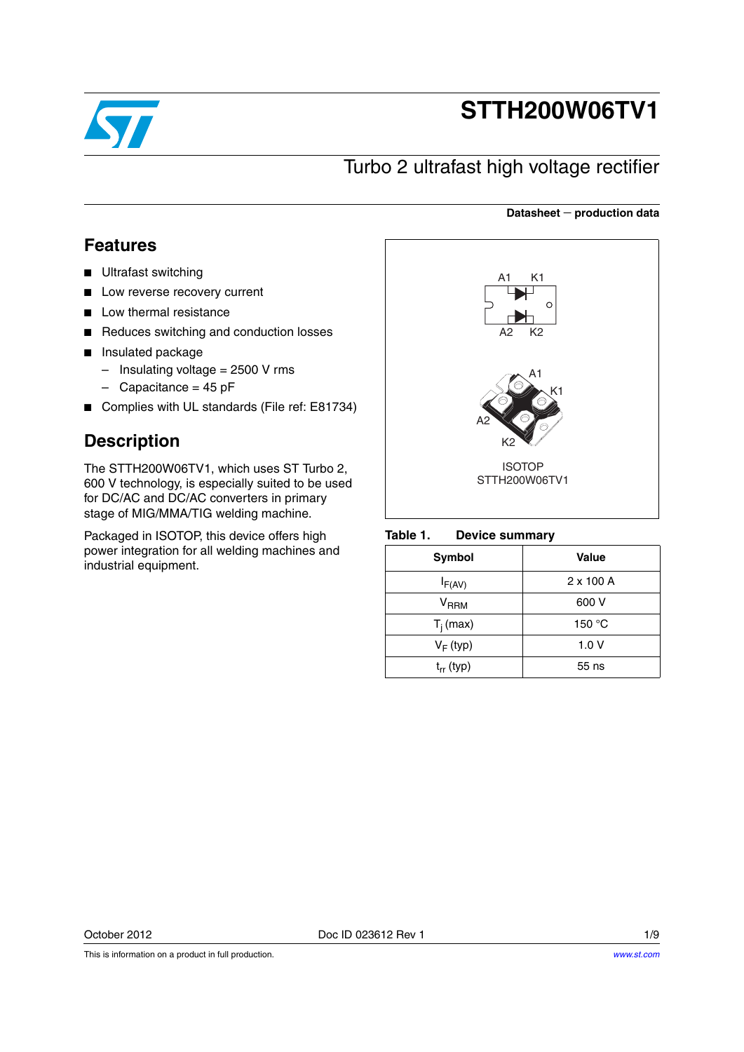

# **STTH200W06TV1**

## Turbo 2 ultrafast high voltage rectifier

#### **Datasheet production data**

### **Features**

- Ultrafast switching
- Low reverse recovery current
- Low thermal resistance
- Reduces switching and conduction losses
- Insulated package
	- $-$  Insulating voltage = 2500 V rms
	- $-$  Capacitance = 45 pF
- Complies with UL standards (File ref: E81734)

### **Description**

The STTH200W06TV1, which uses ST Turbo 2, 600 V technology, is especially suited to be used for DC/AC and DC/AC converters in primary stage of MIG/MMA/TIG welding machine.

Packaged in ISOTOP, this device offers high power integration for all welding machines and industrial equipment.



#### Table 1. **Device summary**

| Symbol         | <b>Value</b>     |
|----------------|------------------|
| $I_{F(AV)}$    | $2 \times 100$ A |
| $V_{RRM}$      | 600 V            |
| $T_i$ (max)    | 150 °C           |
| $V_F$ (typ)    | 1.0V             |
| $t_{rr}$ (typ) | 55 ns            |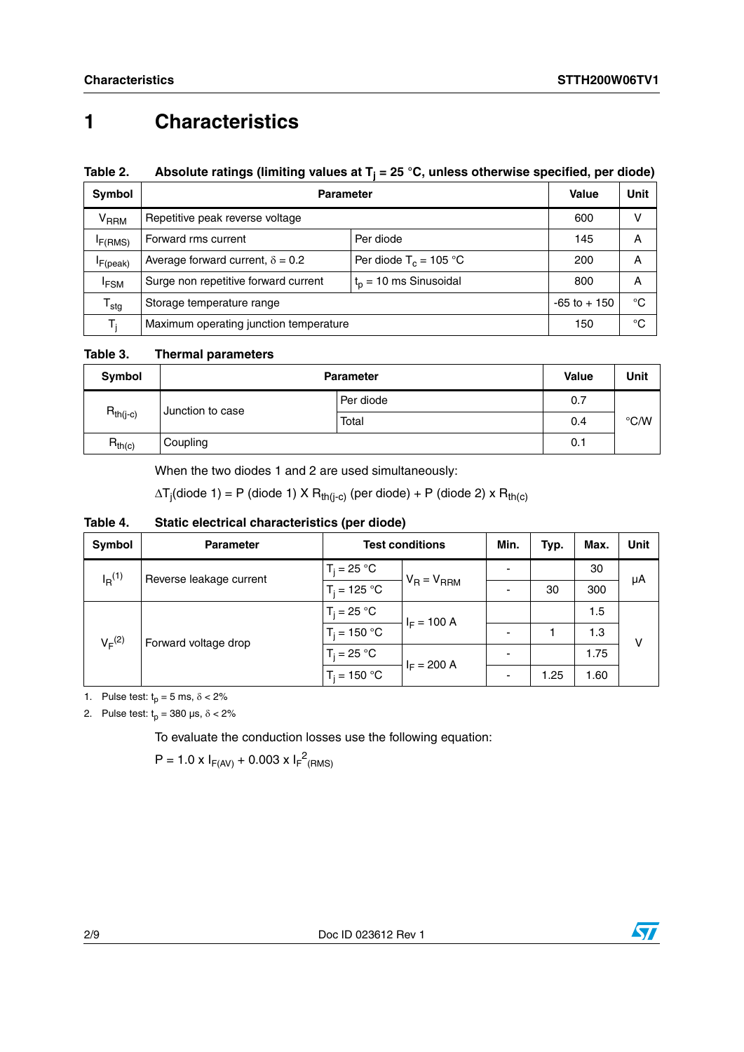## **1 Characteristics**

### Table 2. Absolute ratings (limiting values at T<sub>j</sub> = 25 °C, unless otherwise specified, per diode)

| Symbol              | <b>Parameter</b>                                                    |                 |     | Unit |
|---------------------|---------------------------------------------------------------------|-----------------|-----|------|
| V <sub>RRM</sub>    | Repetitive peak reverse voltage                                     |                 | 600 | v    |
| I <sub>F(RMS)</sub> | Forward rms current<br>Per diode                                    |                 | 145 | А    |
| $I_{F(peak)}$       | Per diode $T_c = 105$ °C<br>Average forward current, $\delta = 0.2$ |                 | 200 | А    |
| <sup>I</sup> FSM    | $tp$ = 10 ms Sinusoidal<br>Surge non repetitive forward current     |                 | 800 | А    |
| ${\tt T_{stg}}$     | Storage temperature range                                           | $-65$ to $+150$ | °C  |      |
| T,                  | Maximum operating junction temperature                              | 150             | °C  |      |

**Table 3. Thermal parameters**

| Symbol        | <b>Parameter</b> | <b>Value</b> | Unit |  |
|---------------|------------------|--------------|------|--|
|               | Junction to case | Per diode    | 0.7  |  |
| $R_{th(j-c)}$ | Total            | 0.4          | °C/W |  |
| $R_{th(c)}$   | Coupling         |              | 0.1  |  |

When the two diodes 1 and 2 are used simultaneously:

 $\Delta {\sf T}_{\sf j}$ (diode 1) = P (diode 1) X  ${\sf R}_{\sf th(j-c)}$  (per diode) + P (diode 2) x  ${\sf R}_{\sf th(c)}$ 

### **Table 4. Static electrical characteristics (per diode)**

| Symbol      | <b>Parameter</b>        | <b>Test conditions</b> | Min.            | Typ. | Max. | <b>Unit</b> |    |
|-------------|-------------------------|------------------------|-----------------|------|------|-------------|----|
| $I_R^{(1)}$ | Reverse leakage current | $T_i = 25 °C$          | $V_R = V_{RRM}$ |      |      | 30          | μA |
|             |                         | $T_i = 125 °C$         |                 |      | 30   | 300         |    |
| $V_F^{(2)}$ | Forward voltage drop    | $T_i = 25 °C$          | $I_F = 100 A$   |      |      | 1.5         | ν  |
|             |                         | $T_i = 150 °C$         |                 |      |      | 1.3         |    |
|             |                         | $T_i = 25 °C$          | $I_F = 200 A$   |      |      | 1.75        |    |
|             |                         | $T_i = 150 °C$         |                 |      | 1.25 | 1.60        |    |

1. Pulse test:  $t_p = 5$  ms,  $\delta < 2\%$ 

2. Pulse test:  $t_p = 380 \text{ }\mu\text{s}, \delta < 2\%$ 

To evaluate the conduction losses use the following equation:

 $P = 1.0 \times I_{F(AV)} + 0.003 \times I_{F}^{2}$ (RMS)

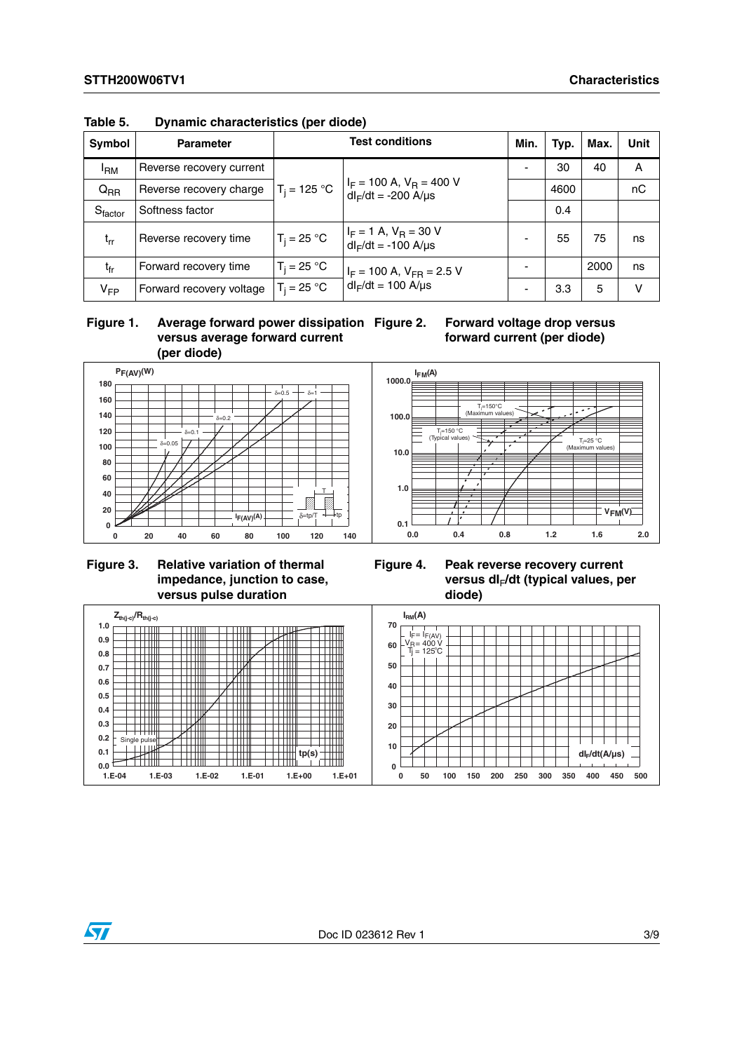| <b>Symbol</b>   | <b>Parameter</b>         | <b>Test conditions</b>                                                        |                                                               | Min. | Typ. | Max. | <b>Unit</b> |
|-----------------|--------------------------|-------------------------------------------------------------------------------|---------------------------------------------------------------|------|------|------|-------------|
| <sup>I</sup> RM | Reverse recovery current |                                                                               |                                                               |      | 30   | 40   | A           |
| $Q_{RR}$        | Reverse recovery charge  | $I_F$ = 100 A, $V_B$ = 400 V<br>$T_i = 125 °C$<br>$dl_F/dt = -200$ A/ $\mu s$ |                                                               |      | 4600 |      | nC          |
| Sfactor         | Softness factor          |                                                                               |                                                               |      | 0.4  |      |             |
| $t_{rr}$        | Reverse recovery time    | $T_i = 25 °C$                                                                 | $I_F = 1$ A, $V_R = 30$ V<br>$dl_F/dt = -100$ A/ $\mu s$      |      | 55   | 75   | ns          |
| $t_{fr}$        | Forward recovery time    | $T_i = 25 °C$                                                                 | $I_F$ = 100 A, $V_{FR}$ = 2.5 V<br>$dl_F/dt = 100$ A/ $\mu s$ |      |      | 2000 | ns          |
| $V_{FP}$        | Forward recovery voltage | $T_i = 25 °C$                                                                 |                                                               |      | 3.3  | 5    | v           |

**Table 5. Dynamic characteristics (per diode)**

#### **Figure 1. Average forward power dissipation versus average forward current (per diode)**

**Forward voltage drop versus forward current (per diode)**



### **Figure 3. Relative variation of thermal impedance, junction to case, versus pulse duration**





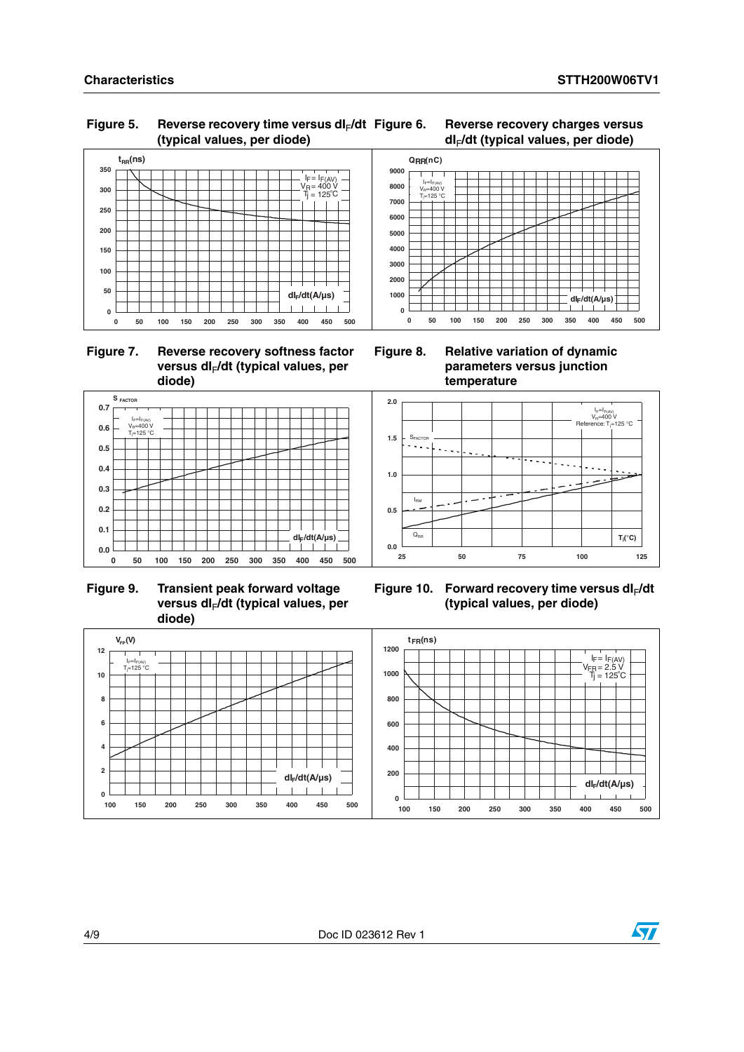#### Figure 5. Reverse recovery time versus dl<sub>F</sub>/dt **(typical values, per diode)**



 **Figure 7. Reverse recovery softness factor**  versus dl<sub>F</sub>/dt (typical values, per **diode)**



**Figure 6. Reverse recovery charges versus** 

**Figure 8. Relative variation of dynamic parameters versus junction temperature**



**Figure 9. Transient peak forward voltage**  versus dl<sub>F</sub>/dt (typical values, per **diode)**







**0.0**

**0.1 0.2 0.3 0.4 0.5 0.6 0.7** **S FACTOR**

 $\left| \right|$ <sub>E</sub> $=$ In V<sub>R</sub>=400 V<br>T<sub>i</sub>=125 °C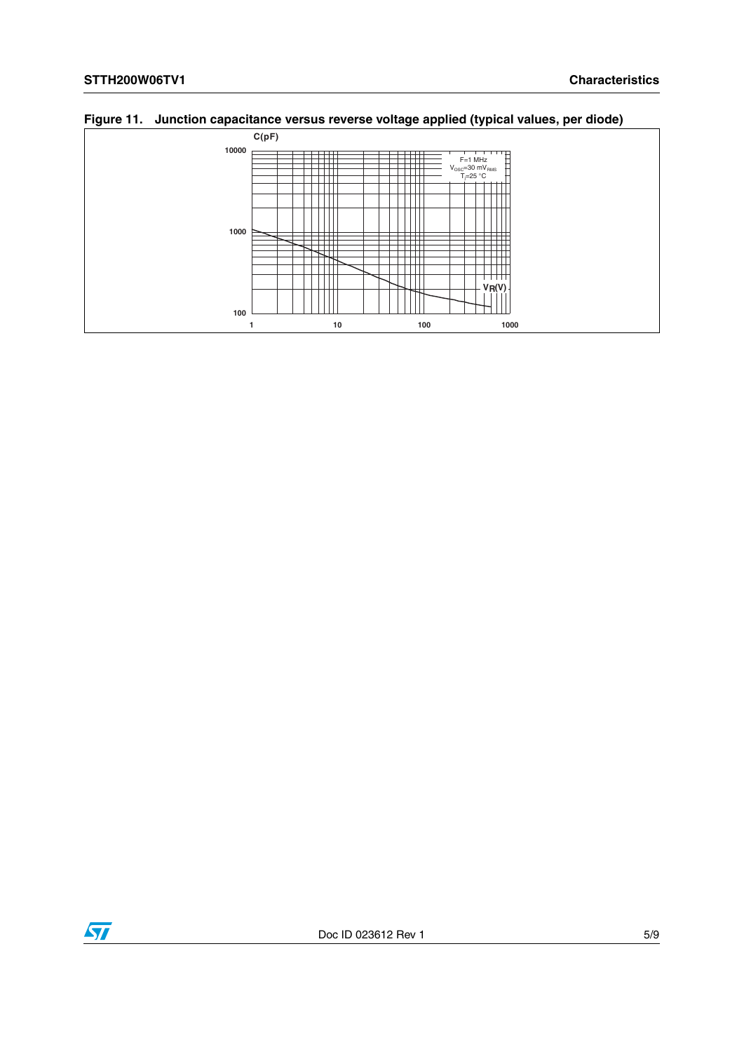**100**



**1** 10 100 1000 1000

Ш

### **Figure 11. Junction capacitance versus reverse voltage applied (typical values, per diode)**

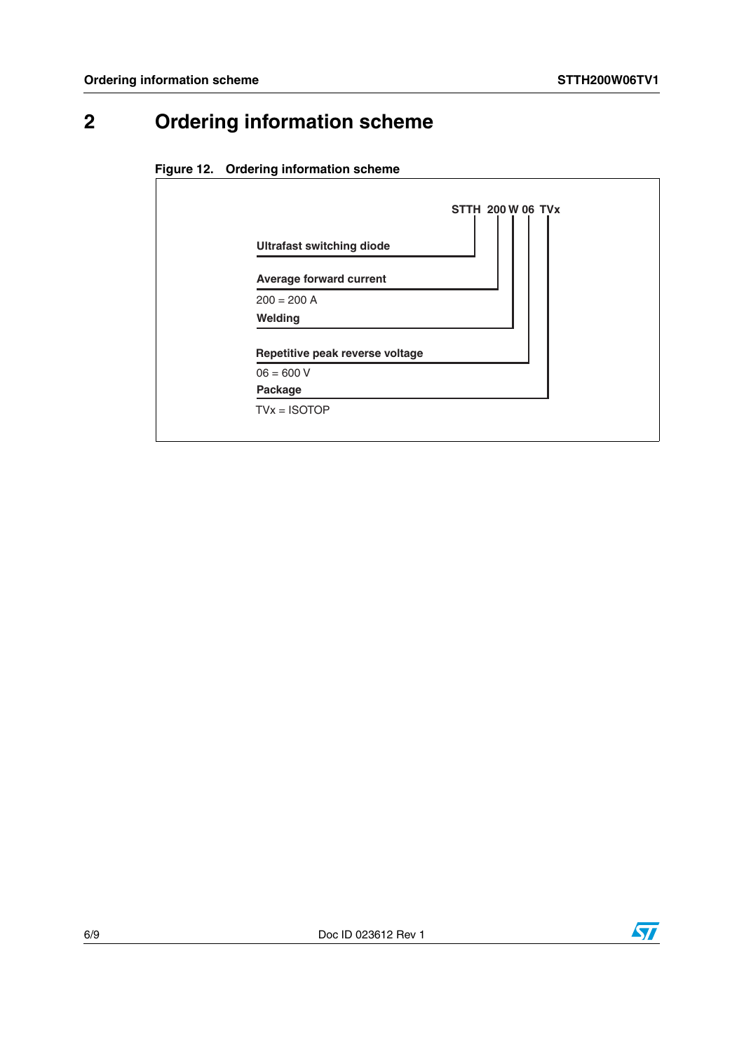# **2 Ordering information scheme**





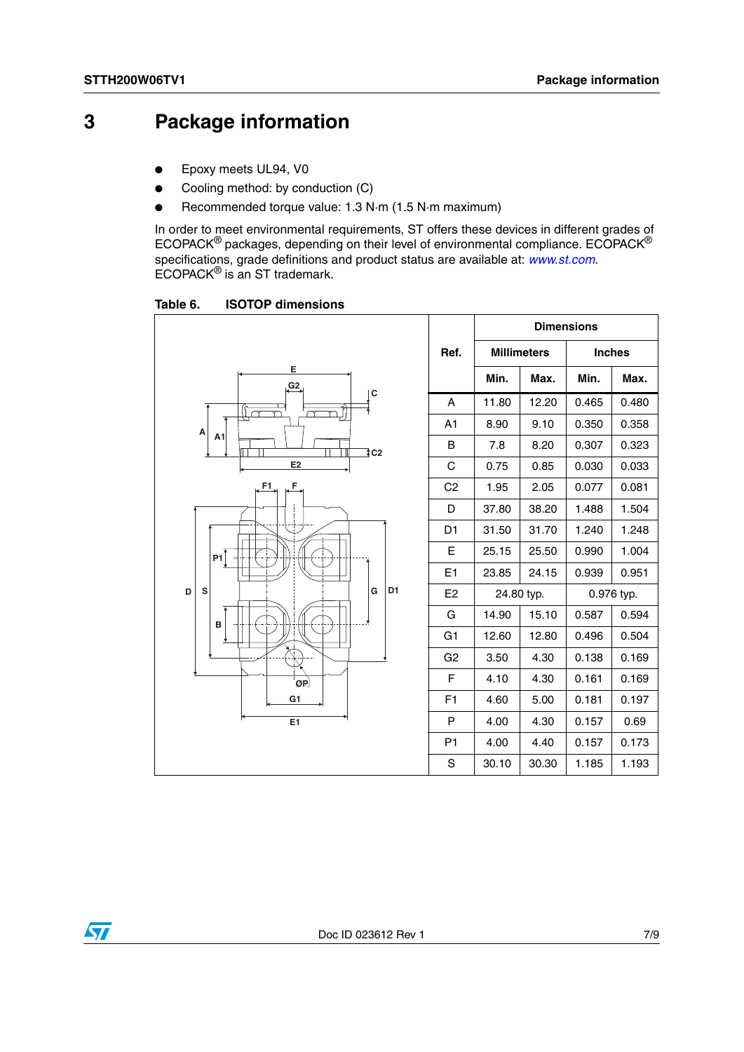## **3 Package information**

- Epoxy meets UL94, V0
- Cooling method: by conduction (C)
- Recommended torque value: 1.3 N·m (1.5 N·m maximum)

In order to meet environmental requirements, ST offers these devices in different grades of ECOPACK® packages, depending on their level of environmental compliance. ECOPACK® specifications, grade definitions and product status are available at: *[www.st.com](http://www.st.com)*. ECOPACK® is an ST trademark.

Table 6. **ISOTOP dimensions** 

|                                    |                            |            | <b>Dimensions</b> |               |       |
|------------------------------------|----------------------------|------------|-------------------|---------------|-------|
|                                    | Ref.<br><b>Millimeters</b> |            |                   | <b>Inches</b> |       |
| Е<br>G2                            |                            | Min.       | Max.              | Min.          | Max.  |
| C                                  | A                          | 11.80      | 12.20             | 0.465         | 0.480 |
| A                                  | A1                         | 8.90       | 9.10              | 0.350         | 0.358 |
| A <sub>1</sub><br>$\frac{1}{2}$ C2 | B                          | 7.8        | 8.20              | 0.307         | 0.323 |
| E2                                 | $\mathsf C$                | 0.75       | 0.85              | 0.030         | 0.033 |
| F<br>F1                            | C <sub>2</sub>             | 1.95       | 2.05              | 0.077         | 0.081 |
|                                    | D                          | 37.80      | 38.20             | 1.488         | 1.504 |
| Ŧ                                  | D <sub>1</sub>             | 31.50      | 31.70             | 1.240         | 1.248 |
| P1                                 | E                          | 25.15      | 25.50             | 0.990         | 1.004 |
|                                    | E1                         | 23.85      | 24.15             | 0.939         | 0.951 |
| D <sub>1</sub><br>S<br>D<br>G      | E <sub>2</sub>             | 24.80 typ. |                   | 0.976 typ.    |       |
| в                                  | G                          | 14.90      | 15.10             | 0.587         | 0.594 |
|                                    | G <sub>1</sub>             | 12.60      | 12.80             | 0.496         | 0.504 |
|                                    | G <sub>2</sub>             | 3.50       | 4.30              | 0.138         | 0.169 |
| ØP                                 | F                          | 4.10       | 4.30              | 0.161         | 0.169 |
| G1                                 | F <sub>1</sub>             | 4.60       | 5.00              | 0.181         | 0.197 |
| E <sub>1</sub>                     | P                          | 4.00       | 4.30              | 0.157         | 0.69  |
|                                    | P <sub>1</sub>             | 4.00       | 4.40              | 0.157         | 0.173 |
|                                    | S                          | 30.10      | 30.30             | 1.185         | 1.193 |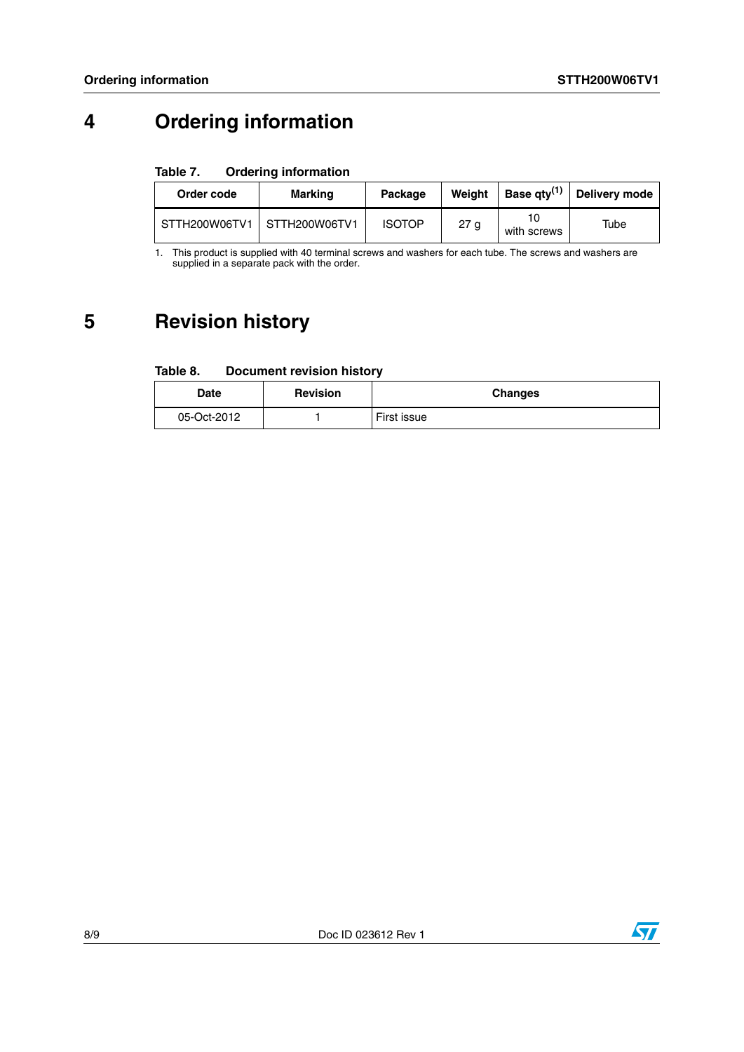# **4 Ordering information**

#### Table 7. **Ordering information**

| Order code                  | Marking | Package       | Weiaht |                   | Base qty <sup>(1)</sup> Delivery mode |
|-----------------------------|---------|---------------|--------|-------------------|---------------------------------------|
| STTH200W06TV1 STTH200W06TV1 |         | <b>ISOTOP</b> | 27 a   | 10<br>with screws | Tube                                  |

1. This product is supplied with 40 terminal screws and washers for each tube. The screws and washers are supplied in a separate pack with the order.

## **5 Revision history**

#### Table 8. **Document revision history**

| <b>Date</b> | <b>Revision</b> | <b>Changes</b> |
|-------------|-----------------|----------------|
| 05-Oct-2012 |                 | First issue    |